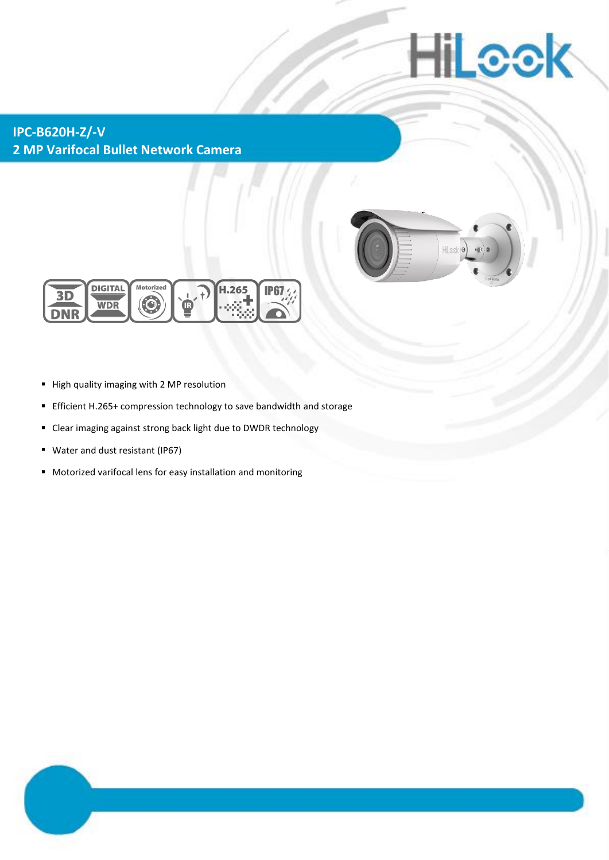# **IILcek**

**IPC-B620H-Z/-V 2 MP Varifocal Bullet Network Camera**





- High quality imaging with 2 MP resolution
- Efficient H.265+ compression technology to save bandwidth and storage
- Clear imaging against strong back light due to DWDR technology
- Water and dust resistant (IP67)
- Motorized varifocal lens for easy installation and monitoring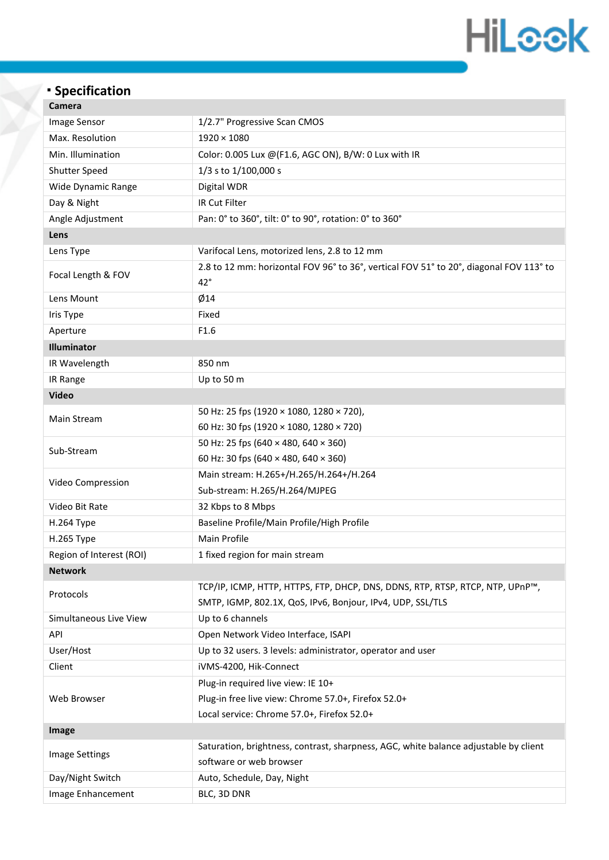## **HiLeek**

### **Specification**

| Camera                   |                                                                                                        |  |  |  |  |
|--------------------------|--------------------------------------------------------------------------------------------------------|--|--|--|--|
| Image Sensor             | 1/2.7" Progressive Scan CMOS                                                                           |  |  |  |  |
| Max. Resolution          | $1920 \times 1080$                                                                                     |  |  |  |  |
| Min. Illumination        | Color: 0.005 Lux @(F1.6, AGC ON), B/W: 0 Lux with IR                                                   |  |  |  |  |
| <b>Shutter Speed</b>     | 1/3 s to 1/100,000 s                                                                                   |  |  |  |  |
| Wide Dynamic Range       | Digital WDR                                                                                            |  |  |  |  |
| Day & Night              | IR Cut Filter                                                                                          |  |  |  |  |
| Angle Adjustment         | Pan: 0° to 360°, tilt: 0° to 90°, rotation: 0° to 360°                                                 |  |  |  |  |
| Lens                     |                                                                                                        |  |  |  |  |
| Lens Type                | Varifocal Lens, motorized lens, 2.8 to 12 mm                                                           |  |  |  |  |
| Focal Length & FOV       | 2.8 to 12 mm: horizontal FOV 96° to 36°, vertical FOV 51° to 20°, diagonal FOV 113° to<br>$42^{\circ}$ |  |  |  |  |
| Lens Mount               | Ø14                                                                                                    |  |  |  |  |
| Iris Type                | Fixed                                                                                                  |  |  |  |  |
| Aperture                 | F1.6                                                                                                   |  |  |  |  |
| Illuminator              |                                                                                                        |  |  |  |  |
| IR Wavelength            | 850 nm                                                                                                 |  |  |  |  |
| IR Range                 | Up to 50 m                                                                                             |  |  |  |  |
| <b>Video</b>             |                                                                                                        |  |  |  |  |
|                          | 50 Hz: 25 fps (1920 × 1080, 1280 × 720),                                                               |  |  |  |  |
| Main Stream              | 60 Hz: 30 fps (1920 × 1080, 1280 × 720)                                                                |  |  |  |  |
| Sub-Stream               | 50 Hz: 25 fps (640 × 480, 640 × 360)                                                                   |  |  |  |  |
|                          | 60 Hz: 30 fps (640 × 480, 640 × 360)                                                                   |  |  |  |  |
|                          | Main stream: H.265+/H.265/H.264+/H.264                                                                 |  |  |  |  |
| Video Compression        | Sub-stream: H.265/H.264/MJPEG                                                                          |  |  |  |  |
| Video Bit Rate           | 32 Kbps to 8 Mbps                                                                                      |  |  |  |  |
| H.264 Type               | Baseline Profile/Main Profile/High Profile                                                             |  |  |  |  |
| H.265 Type               | Main Profile                                                                                           |  |  |  |  |
| Region of Interest (ROI) | 1 fixed region for main stream                                                                         |  |  |  |  |
| <b>Network</b>           |                                                                                                        |  |  |  |  |
| Protocols                | TCP/IP, ICMP, HTTP, HTTPS, FTP, DHCP, DNS, DDNS, RTP, RTSP, RTCP, NTP, UPnP™,                          |  |  |  |  |
|                          | SMTP, IGMP, 802.1X, QoS, IPv6, Bonjour, IPv4, UDP, SSL/TLS                                             |  |  |  |  |
| Simultaneous Live View   | Up to 6 channels                                                                                       |  |  |  |  |
| API                      | Open Network Video Interface, ISAPI                                                                    |  |  |  |  |
| User/Host                | Up to 32 users. 3 levels: administrator, operator and user                                             |  |  |  |  |
| Client                   | iVMS-4200, Hik-Connect                                                                                 |  |  |  |  |
| Web Browser              | Plug-in required live view: IE 10+                                                                     |  |  |  |  |
|                          | Plug-in free live view: Chrome 57.0+, Firefox 52.0+                                                    |  |  |  |  |
|                          | Local service: Chrome 57.0+, Firefox 52.0+                                                             |  |  |  |  |
| Image                    |                                                                                                        |  |  |  |  |
| <b>Image Settings</b>    | Saturation, brightness, contrast, sharpness, AGC, white balance adjustable by client                   |  |  |  |  |
|                          | software or web browser                                                                                |  |  |  |  |
| Day/Night Switch         | Auto, Schedule, Day, Night                                                                             |  |  |  |  |
| Image Enhancement        | BLC, 3D DNR                                                                                            |  |  |  |  |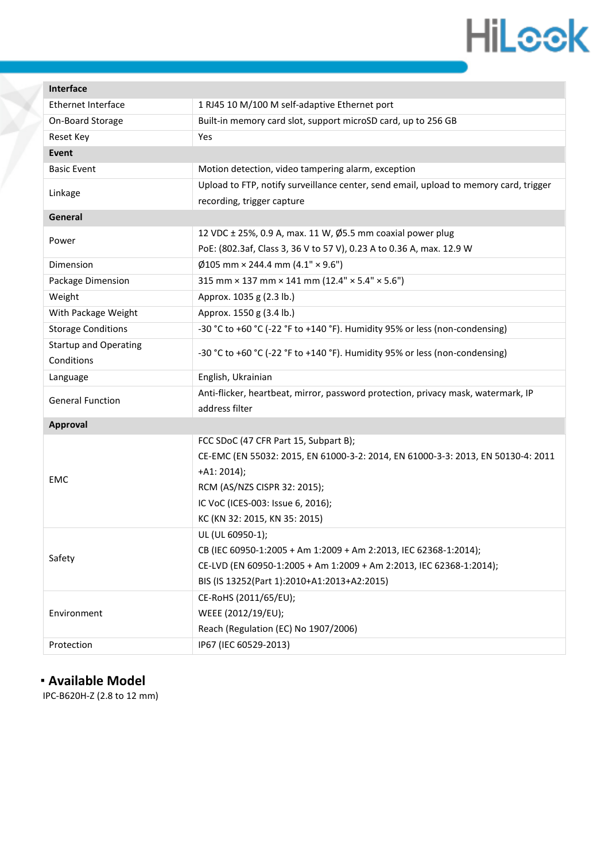### **HiLeek**

| Interface                    |                                                                                       |  |  |  |  |
|------------------------------|---------------------------------------------------------------------------------------|--|--|--|--|
| <b>Ethernet Interface</b>    | 1 RJ45 10 M/100 M self-adaptive Ethernet port                                         |  |  |  |  |
| On-Board Storage             | Built-in memory card slot, support microSD card, up to 256 GB                         |  |  |  |  |
| Reset Key                    | Yes                                                                                   |  |  |  |  |
| <b>Event</b>                 |                                                                                       |  |  |  |  |
| <b>Basic Event</b>           | Motion detection, video tampering alarm, exception                                    |  |  |  |  |
| Linkage                      | Upload to FTP, notify surveillance center, send email, upload to memory card, trigger |  |  |  |  |
|                              | recording, trigger capture                                                            |  |  |  |  |
| General                      |                                                                                       |  |  |  |  |
| Power                        | 12 VDC ± 25%, 0.9 A, max. 11 W, Ø5.5 mm coaxial power plug                            |  |  |  |  |
|                              | PoE: (802.3af, Class 3, 36 V to 57 V), 0.23 A to 0.36 A, max. 12.9 W                  |  |  |  |  |
| Dimension                    | $\emptyset$ 105 mm × 244.4 mm (4.1" × 9.6")                                           |  |  |  |  |
| Package Dimension            | 315 mm $\times$ 137 mm $\times$ 141 mm (12.4" $\times$ 5.4" $\times$ 5.6")            |  |  |  |  |
| Weight                       | Approx. 1035 g (2.3 lb.)                                                              |  |  |  |  |
| With Package Weight          | Approx. 1550 g (3.4 lb.)                                                              |  |  |  |  |
| <b>Storage Conditions</b>    | -30 °C to +60 °C (-22 °F to +140 °F). Humidity 95% or less (non-condensing)           |  |  |  |  |
| <b>Startup and Operating</b> | -30 °C to +60 °C (-22 °F to +140 °F). Humidity 95% or less (non-condensing)           |  |  |  |  |
| Conditions                   |                                                                                       |  |  |  |  |
| Language                     | English, Ukrainian                                                                    |  |  |  |  |
| <b>General Function</b>      | Anti-flicker, heartbeat, mirror, password protection, privacy mask, watermark, IP     |  |  |  |  |
|                              | address filter                                                                        |  |  |  |  |
| <b>Approval</b>              |                                                                                       |  |  |  |  |
|                              | FCC SDoC (47 CFR Part 15, Subpart B);                                                 |  |  |  |  |
| EMC                          | CE-EMC (EN 55032: 2015, EN 61000-3-2: 2014, EN 61000-3-3: 2013, EN 50130-4: 2011      |  |  |  |  |
|                              | $+A1: 2014);$                                                                         |  |  |  |  |
|                              | RCM (AS/NZS CISPR 32: 2015);                                                          |  |  |  |  |
|                              | IC VoC (ICES-003: Issue 6, 2016);                                                     |  |  |  |  |
|                              | KC (KN 32: 2015, KN 35: 2015)                                                         |  |  |  |  |
| Safety                       | UL (UL 60950-1);                                                                      |  |  |  |  |
|                              | CB (IEC 60950-1:2005 + Am 1:2009 + Am 2:2013, IEC 62368-1:2014);                      |  |  |  |  |
|                              | CE-LVD (EN 60950-1:2005 + Am 1:2009 + Am 2:2013, IEC 62368-1:2014);                   |  |  |  |  |
|                              | BIS (IS 13252(Part 1):2010+A1:2013+A2:2015)                                           |  |  |  |  |
| Environment                  | CE-RoHS (2011/65/EU);                                                                 |  |  |  |  |
|                              | WEEE (2012/19/EU);                                                                    |  |  |  |  |
|                              | Reach (Regulation (EC) No 1907/2006)                                                  |  |  |  |  |
| Protection                   | IP67 (IEC 60529-2013)                                                                 |  |  |  |  |

#### **Available Model**

Č

IPC-B620H-Z (2.8 to 12 mm)